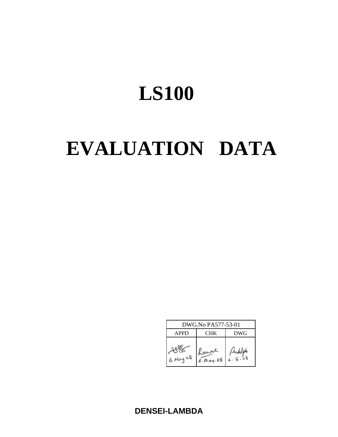# EVALUATION DATA

| DWG.No PA577-53-01                      |                       |  |  |  |  |
|-----------------------------------------|-----------------------|--|--|--|--|
| <b>APPD</b><br><b>DWG</b><br><b>CHK</b> |                       |  |  |  |  |
| $6$ May $a8$                            | Kaman<br>$6.$ May. 08 |  |  |  |  |

**DENSEI-LAMBDA**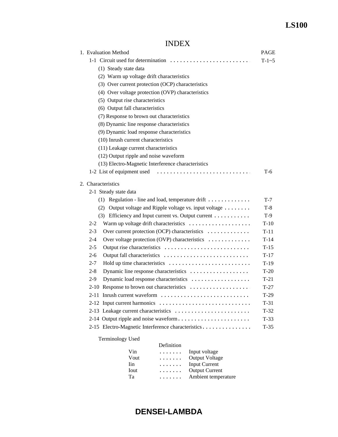# INDEX

| 1. Evaluation Method                                                  | PAGE    |
|-----------------------------------------------------------------------|---------|
| 1-1 Circuit used for determination                                    | $T-1-5$ |
| (1) Steady state data                                                 |         |
| (2) Warm up voltage drift characteristics                             |         |
| (3) Over current protection (OCP) characteristics                     |         |
| (4) Over voltage protection (OVP) characteristics                     |         |
| (5) Output rise characteristics                                       |         |
| (6) Output fall characteristics                                       |         |
| (7) Response to brown out characteristics                             |         |
| (8) Dynamic line response characteristics                             |         |
| (9) Dynamic load response characteristics                             |         |
| (10) Inrush current characteristics                                   |         |
| (11) Leakage current characteristics                                  |         |
| (12) Output ripple and noise waveform                                 |         |
| (13) Electro-Magnetic Interference characteristics                    |         |
| 1-2 List of equipment used                                            | T-6     |
|                                                                       |         |
| 2. Characteristics                                                    |         |
| 2-1 Steady state data                                                 |         |
| $(1)$ Regulation - line and load, temperature drift                   | $T-7$   |
| (2) Output voltage and Ripple voltage vs. input voltage $\dots \dots$ | $T-8$   |
| (3) Efficiency and Input current vs. Output current                   | $T-9$   |
| Warm up voltage drift characteristics<br>$2 - 2$                      | $T-10$  |
| $2 - 3$<br>Over current protection (OCP) characteristics              | $T-11$  |
| Over voltage protection (OVP) characteristics<br>2-4                  | $T-14$  |
| $2 - 5$                                                               | $T-15$  |
| $2-6$                                                                 | $T-17$  |
| $2 - 7$                                                               | $T-19$  |
| $2 - 8$<br>Dynamic line response characteristics                      | $T-20$  |
| Dynamic load response characteristics<br>$2-9$                        | $T-21$  |
| Response to brown out characteristics<br>$2 - 10$                     | $T-27$  |
| 2-11 Inrush current waveform                                          | $T-29$  |
| 2-12 Input current harmonics                                          | $T-31$  |
| 2-13 Leakage current characteristics                                  | $T-32$  |
| 2-14 Output ripple and noise waveform                                 | $T-33$  |
| 2-15 Electro-Magnetic Interference characteristics                    | $T-35$  |
| <b>Terminology Used</b>                                               |         |

|      | Definition |                       |
|------|------------|-----------------------|
| Vin  | .          | Input voltage         |
| Vout | .          | <b>Output Voltage</b> |
| Iin  | .          | Input Current         |
| Iout | .          | <b>Output Current</b> |
| Ta   | .          | Ambient temperature   |
|      |            |                       |

# **DENSEI-LAMBDA**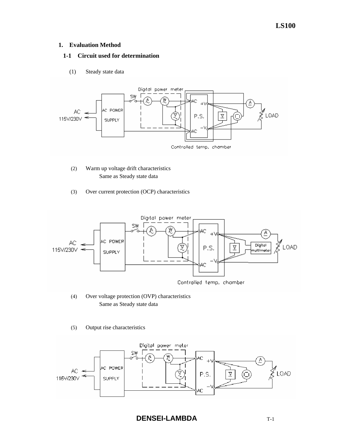## **1. Evaluation Method**

## **1-1 Circuit used for determination**

(1) Steady state data



- (2) Warm up voltage drift characteristics Same as Steady state data
- (3) Over current protection (OCP) characteristics



- (4) Over voltage protection (OVP) characteristics Same as Steady state data
- (5) Output rise characteristics

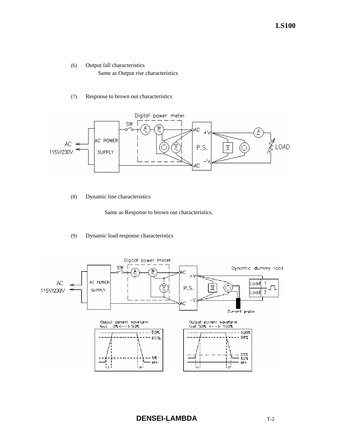- (6) Output fall characteristics Same as Output rise characteristics
- (7) Response to brown out characteristics



(8) Dynamic line characteristics

Same as Response to brown out characteristics.

### (9) Dynamic load response characteristics

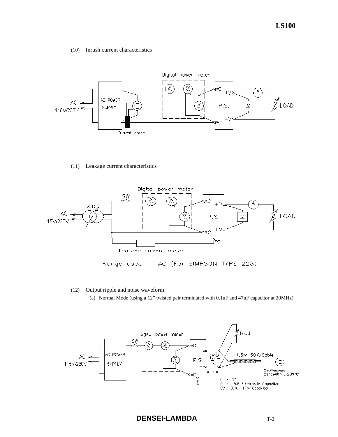(10) Inrush current characteristics



(11) Leakage current characteristics



- (12) Output ripple and noise waveform
	- (a) Normal Mode (using a 12" twisted pair terminated with 0.1uF and 47uF capacitor at 20MHz)

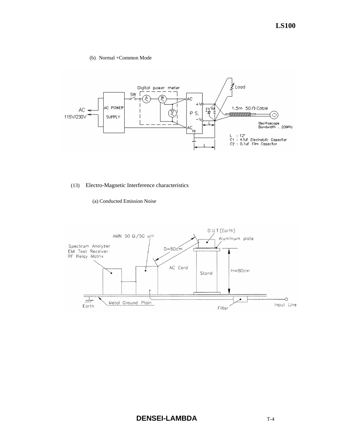#### (b) Normal +Common Mode



## (13) Electro-Magnetic Interference characteristics

### (a) Conducted Emission Noise

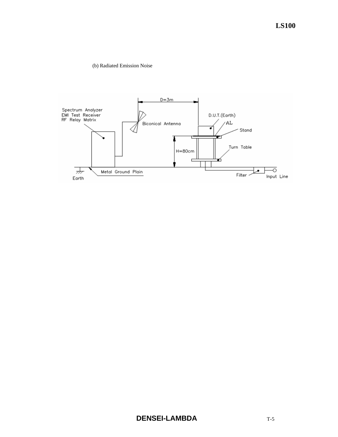(b) Radiated Emission Noise

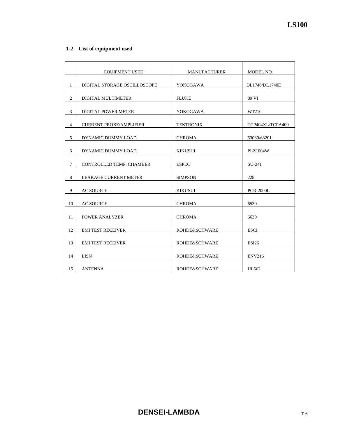# **1-2 List of equipment used**

|                | <b>EQUIPMENT USED</b>          | <b>MANUFACTURER</b> | MODEL NO.        |
|----------------|--------------------------------|---------------------|------------------|
| 1              | DIGITAL STORAGE OSCILLOSCOPE   | <b>YOKOGAWA</b>     | DL1740/DL1740E   |
|                |                                |                     |                  |
| $\overline{2}$ | DIGITAL MULTIMETER             | <b>FLUKE</b>        | 89 VI            |
| 3              | <b>DIGITAL POWER METER</b>     | YOKOGAWA            | WT210            |
| $\overline{4}$ | <b>CURRENT PROBE/AMPLIFIER</b> | <b>TEKTRONIX</b>    | TCP404XL/TCPA400 |
|                |                                |                     |                  |
| 5              | DYNAMIC DUMMY LOAD             | <b>CHROMA</b>       | 63030/63201      |
| 6              | DYNAMIC DUMMY LOAD             | <b>KIKUSUI</b>      | <b>PLZ1004W</b>  |
| $\tau$         | CONTROLLED TEMP. CHAMBER       | <b>ESPEC</b>        | SU-241           |
|                |                                |                     |                  |
| 8              | <b>LEAKAGE CURRENT METER</b>   | <b>SIMPSON</b>      | 228              |
| 9              | <b>AC SOURCE</b>               | <b>KIKUSUI</b>      | <b>PCR-2000L</b> |
|                |                                |                     |                  |
| 10             | <b>AC SOURCE</b>               | <b>CHROMA</b>       | 6530             |
| 11             | POWER ANALYZER                 | <b>CHROMA</b>       | 6630             |
|                |                                |                     |                  |
| 12             | <b>EMI TEST RECEIVER</b>       | ROHDE&SCHWARZ       | <b>ESCI</b>      |
| 13             | <b>EMI TEST RECEIVER</b>       | ROHDE&SCHWARZ       | <b>ESI26</b>     |
| 14             | <b>LISN</b>                    | ROHDE&SCHWARZ       | <b>ENV216</b>    |
| 15             | <b>ANTENNA</b>                 | ROHDE&SCHWARZ       | HL562            |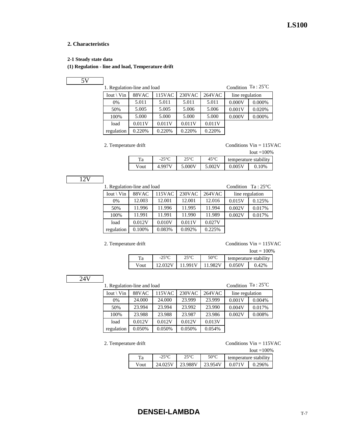## **2. Characteristics**

**2-1 Steady state data**

## **(1) Regulation - line and load, Temperature drift**

1. Regulation-line and load

Condition Ta: 25°C

| $Iout \setminus Vin$ | 88VAC  | 115VAC | 230VAC | $264\nVAC$ | line regulation |        |
|----------------------|--------|--------|--------|------------|-----------------|--------|
| $0\%$                | 5.011  | 5.011  | 5.011  | 5.011      | 0.000V          | 0.000% |
| 50%                  | 5.005  | 5.005  | 5.006  | 5.006      | 0.001V          | 0.020% |
| 100%                 | 5.000  | 5.000  | 5.000  | 5.000      | 0.000V          | 0.000% |
| load                 | 0.011V | 0.011V | 0.011V | 0.011V     |                 |        |
| regulation           | 0.220% | 0.220% | 0.220% | 0.220%     |                 |        |

2. Temperature drift Conditions Vin = 115VAC

Iout  $\equiv$ 100%

|      |                |        |               |        | <br>- 1997            |
|------|----------------|--------|---------------|--------|-----------------------|
| ľа   | $-25\degree C$ | ንና∘∂   | $45^{\circ}C$ |        | temperature stability |
| Vout | 4.997V         | 5.000V | 5.002V        | 0.005V | $0.10\%$              |
|      |                |        |               |        |                       |

12V

| 1. Regulation-line and load |                                                           | Condition $Ta:25^{\circ}C$ |        |        |        |        |
|-----------------------------|-----------------------------------------------------------|----------------------------|--------|--------|--------|--------|
| $Iout \setminus Vin$        | $230$ VAC<br>88VAC<br>115VAC<br>264VAC<br>line regulation |                            |        |        |        |        |
| 0%                          | 12.003                                                    | 12.001                     | 12.001 | 12.016 | 0.015V | 0.125% |
| 50%                         | 11.996                                                    | 11.996                     | 11.995 | 11.994 | 0.002V | 0.017% |
| 100%                        | 11.991                                                    | 11.991                     | 11.990 | 11.989 | 0.002V | 0.017% |
| load                        | 0.012V                                                    | 0.010V                     | 0.011V | 0.027V |        |        |
| regulation                  | 0.100%                                                    | 0.083%                     | 0.092% | 0.225% |        |        |
|                             |                                                           |                            |        |        |        |        |

2. Temperature drift Conditions Vin = 115VAC

| $I$ out = 100% |                 |               |                |                       |       |  |
|----------------|-----------------|---------------|----------------|-----------------------|-------|--|
| Ta             | $-25^{\circ}$ C | $25^{\circ}C$ | $50^{\circ}$ C | temperature stability |       |  |
| Vout           |                 | 11.991V       | 11.982V        | 0.050V                | 0.42% |  |

24V

1. Regulation-line and load

Condition Ta: 25°C

| $Iout \setminus Vin$ | 88VAC  | 115VAC | 230VAC | 264VAC | line regulation |        |
|----------------------|--------|--------|--------|--------|-----------------|--------|
| $0\%$                | 24.000 | 24.000 | 23.999 | 23.999 | 0.001V          | 0.004% |
| 50%                  | 23.994 | 23.994 | 23.992 | 23.990 | 0.004V          | 0.017% |
| 100%                 | 23.988 | 23.988 | 23.987 | 23.986 | 0.002V          | 0.008% |
| load                 | 0.012V | 0.012V | 0.012V | 0.013V |                 |        |
| regulation           | 0.050% | 0.050% | 0.050% | 0.054% |                 |        |

2. Temperature drift Conditions Vin = 115VAC

|      |                    |               |                |                       | $I$ out = $100\%$ |  |
|------|--------------------|---------------|----------------|-----------------------|-------------------|--|
| Ta   | $-25\textdegree C$ | $25^{\circ}C$ | $50^{\circ}$ C | temperature stability |                   |  |
| Vout | 24.025V            | 23.988V       | 23.954V        | 0.071V                | 0.296%            |  |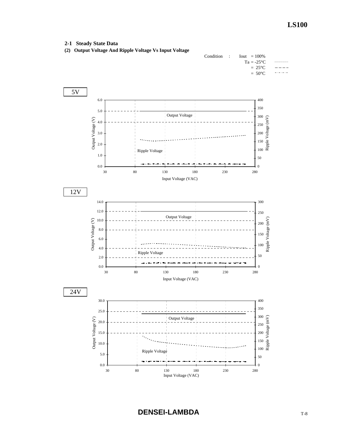## **2-1 Steady State Data**

**(2) Output Voltage And Ripple Voltage Vs Input Voltage**

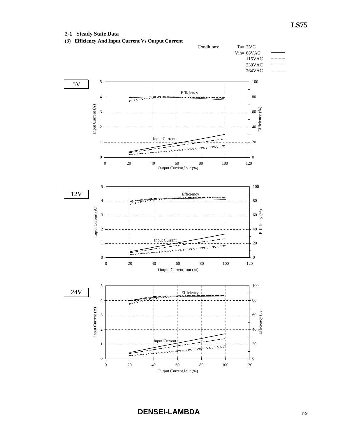**2-1 Steady State Data**

**(3) Efficiency And Input Current Vs Output Current**

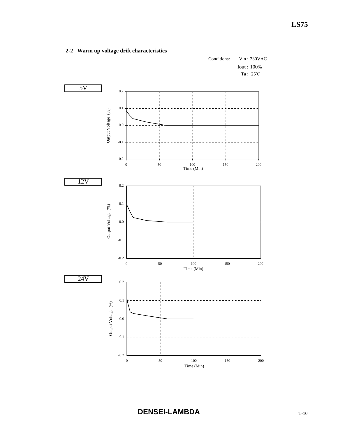

# **2-2 Warm up voltage drift characteristics**

**DENSEI-LAMBDA** T-10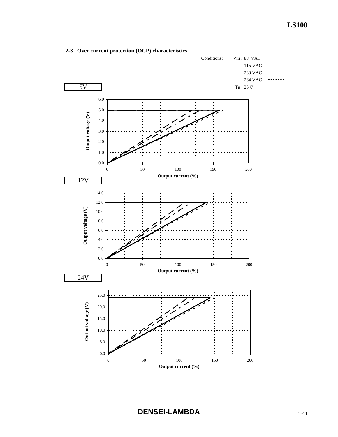

## **2-3 Over current protection (OCP) characteristics**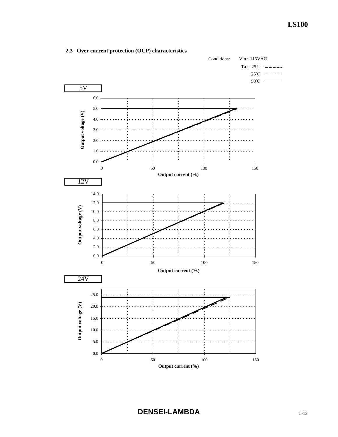

# **2.3 Over current protection (OCP) characteristics**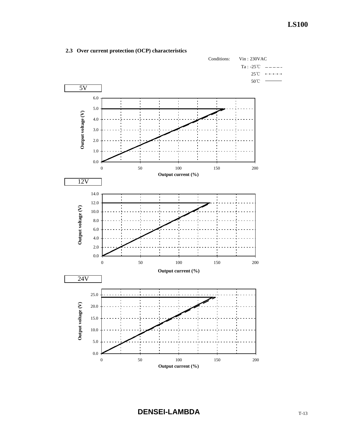

# **2.3 Over current protection (OCP) characteristics**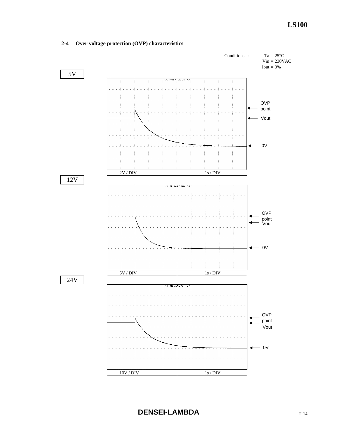# Conditions :  $Ta = 25^{\circ}C$  $Vin = 230VAC$ Iout  $= 0\%$ 5V << Main#200k >> OVP - point Vout  $- 0V$  $\ddot{}$  $2V / DIV$  1s / DIV 12V << Main#200k OVP point Vout  $\leftarrow$  0V 5V / DIV 1s / DIV 24V

# **2-4 Over voltage protection (OVP) characteristics**

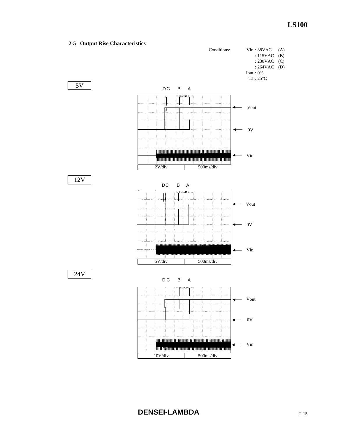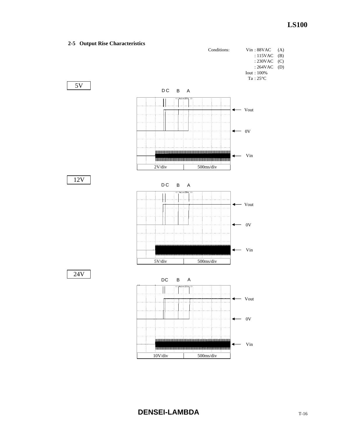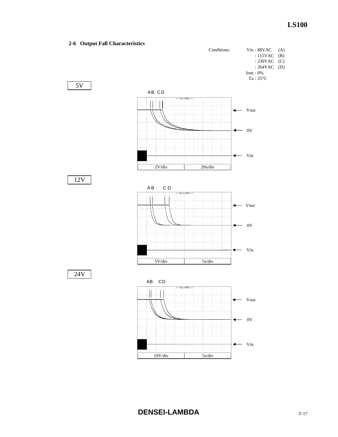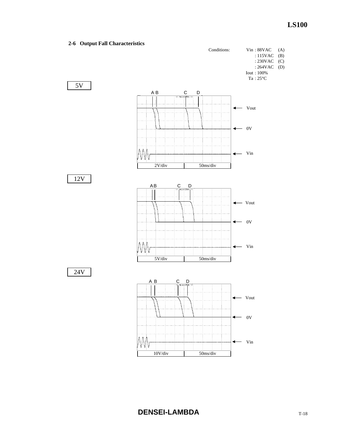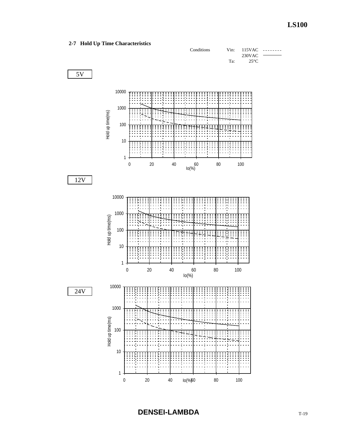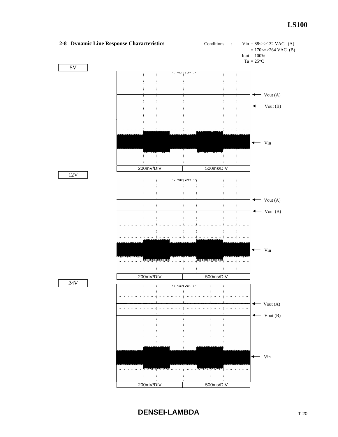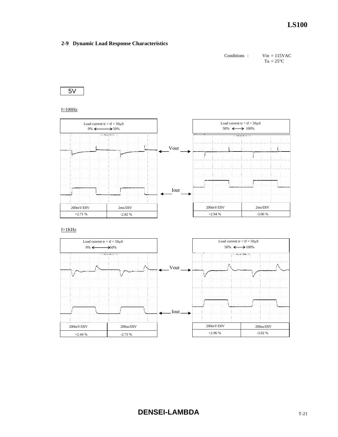

5V

 $f=100$ Hz



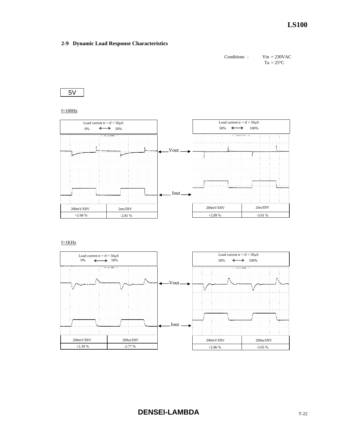

5V

 $f=100Hz$ 



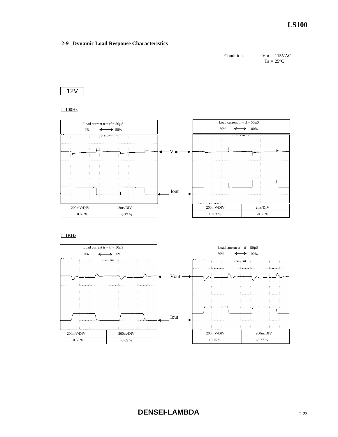Conditions : Vin = 115VAC  $Ta = 25^{\circ}C$ 



 $f=100Hz$ 



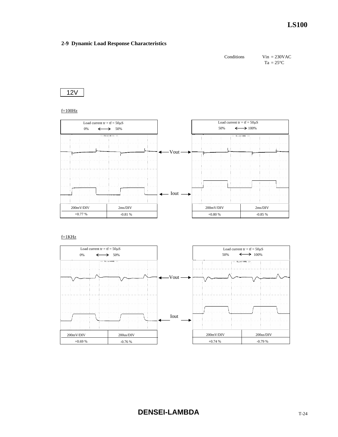

12V

 $f=100Hz$ 



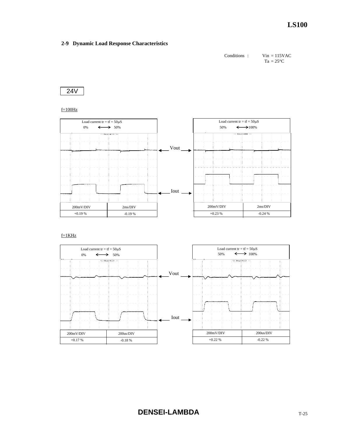



 $f=100Hz$ 



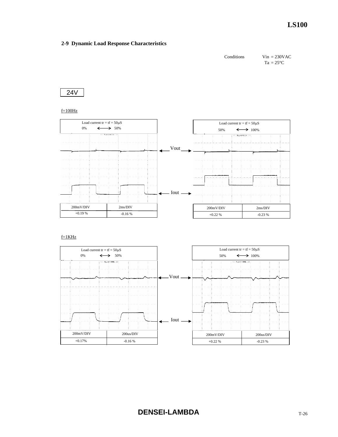

24V

#### $f=100Hz$



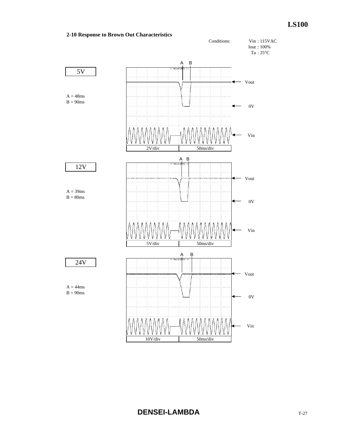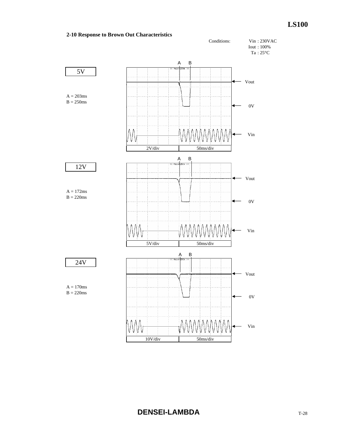

# **DENSEI-LAMBDA**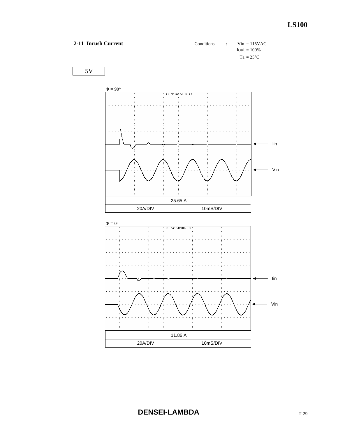

**DENSEI-LAMBDA**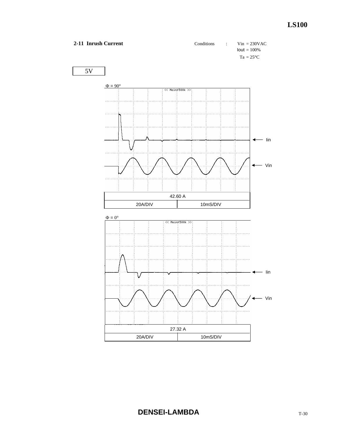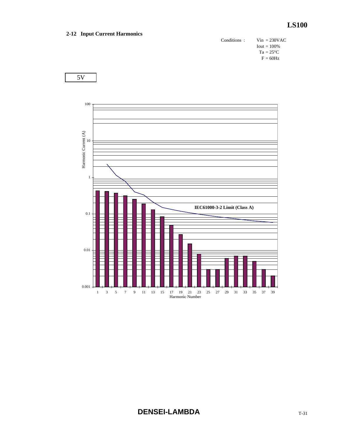## **2-12 Input Current Harmonics**

Conditions : Vin = 230VAC  $Iout = 100\%$  $Ta = 25^{\circ}C$  $F = 60$ Hz

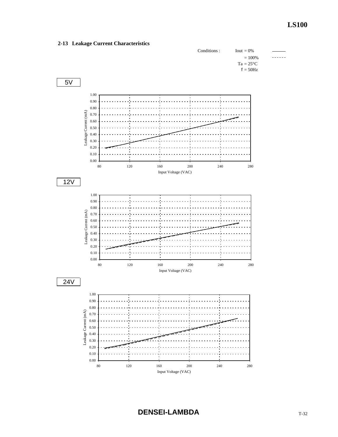

## **2-13 Leakage Current Characteristics**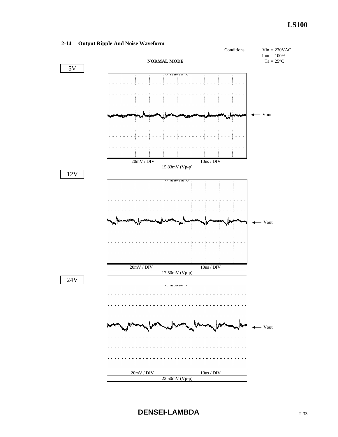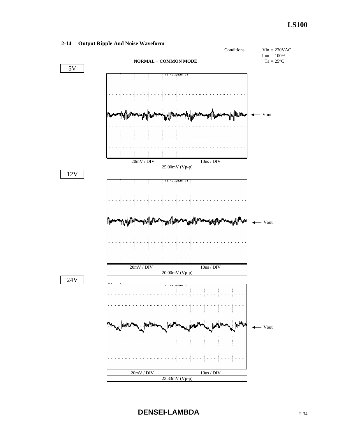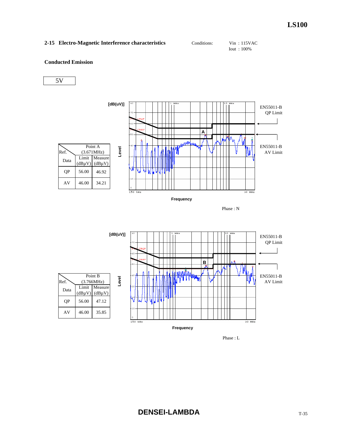| 2-15 Electro-Magnetic Interference characteristics<br>$V$ in: 115VAC<br>Conditions: |  |
|-------------------------------------------------------------------------------------|--|
|-------------------------------------------------------------------------------------|--|

```
Iout : 100%
```
## **Conducted Emission**







Phase : L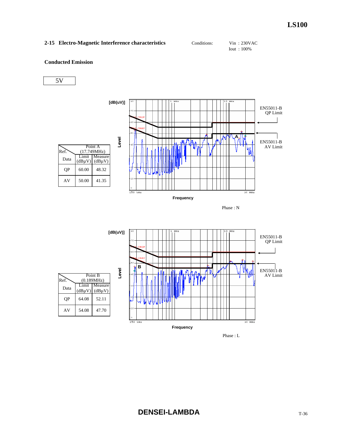| 2-15 Electro-Magnetic Interference characteristics | Conditions: | Vin : 230VAC  |  |
|----------------------------------------------------|-------------|---------------|--|
|                                                    |             | $I$ out: 100% |  |







Phase : L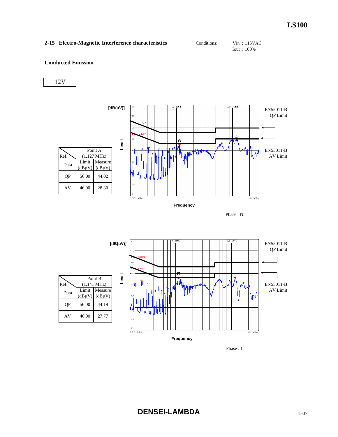## 2-15 Electro-Magnetic Interference characteristics Conditions: Vin : 115VAC

Iout : 100%

#### **Conducted Emission**







Phase : L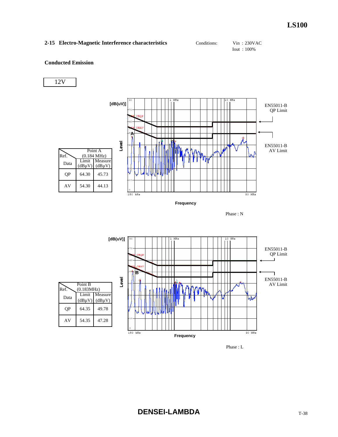## **2-15 Electro-Magnetic Interference characteristics** Conditions: Vin : 230VAC

Iout : 100%

## **Conducted Emission**









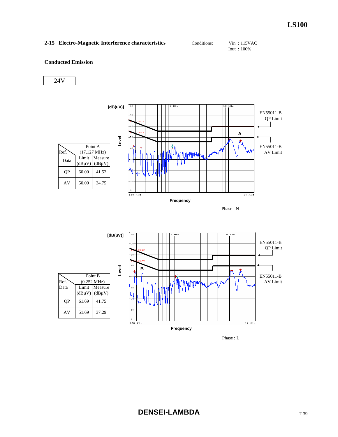## 2-15 Electro-Magnetic Interference characteristics Conditions: Vin : 115VAC

Iout : 100%

## **Conducted Emission**







Phase : L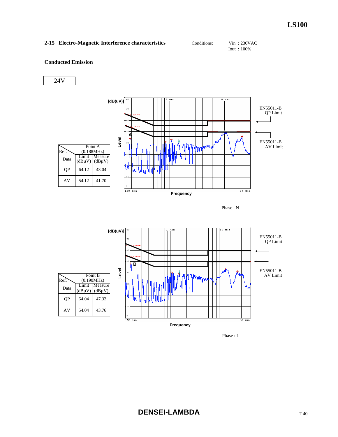|  | 2-15 Electro-Magnetic Interference characteristics | Conditions: | $V$ in: 230VAC |  |
|--|----------------------------------------------------|-------------|----------------|--|
|--|----------------------------------------------------|-------------|----------------|--|

Iout : 100%

## **Conducted Emission**





Phase : L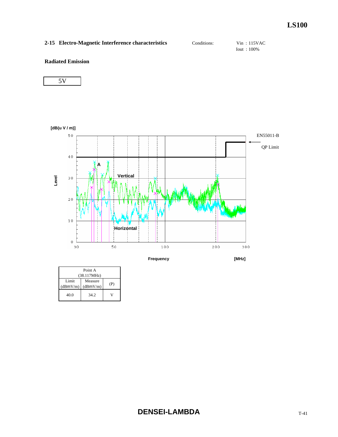# 2-15 Electro-Magnetic Interference characteristics Conditions: Vin : 115VAC

Iout : 100%

## **Radiated Emission**



| Point A<br>$(38.117)$ MHz) |                     |     |
|----------------------------|---------------------|-----|
| Limit<br>(dBmV/m)          | Measure<br>(dBmV/m) | (P) |
| 40.0                       | 34.2                |     |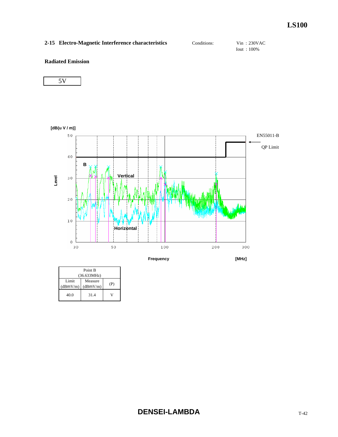# 2-15 Electro-Magnetic Interference characteristics Conditions: Vin : 230VAC

Iout : 100%

## **Radiated Emission**



| Point B           |                     |     |
|-------------------|---------------------|-----|
|                   | (36.633MHz)         |     |
| Limit<br>(dBmV/m) | Measure<br>(dBmV/m) | (P) |
| 40.0              | 31.4                |     |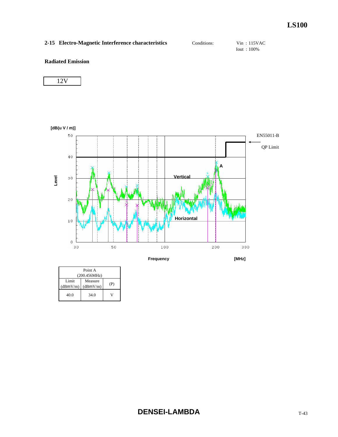# 2-15 Electro-Magnetic Interference characteristics Conditions: Vin : 115VAC

Iout : 100%

## **Radiated Emission**

|--|



**Frequency [MHz]**

| Point A           |                     |     |
|-------------------|---------------------|-----|
| (200.456 MHz)     |                     |     |
| Limit<br>(dBmV/m) | Measure<br>(dBmV/m) | (P) |
| 40.0              | 34.0                |     |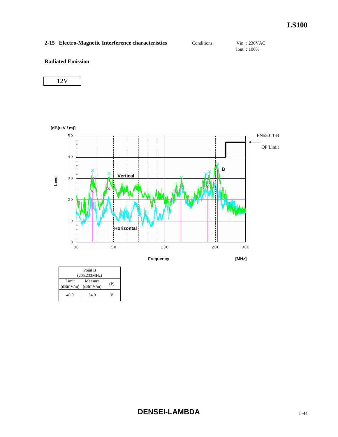# 2-15 Electro-Magnetic Interference characteristics Conditions: Vin : 230VAC

Iout : 100%

## **Radiated Emission**

|--|



| Point B<br>(205.233 MHz) |                     |     |
|--------------------------|---------------------|-----|
| Limit<br>(dBmV/m)        | Measure<br>(dBmV/m) | (P) |
| 40.0                     | 34.0                |     |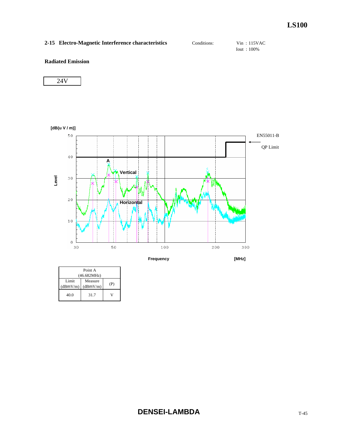# 2-15 Electro-Magnetic Interference characteristics Conditions: Vin : 115VAC

Iout : 100%

## **Radiated Emission**



| Point A           |                     |     |
|-------------------|---------------------|-----|
| (46.682 MHz)      |                     |     |
| Limit<br>(dBmV/m) | Measure<br>(dBmV/m) | (P) |
| 40.0              | 31.7                |     |